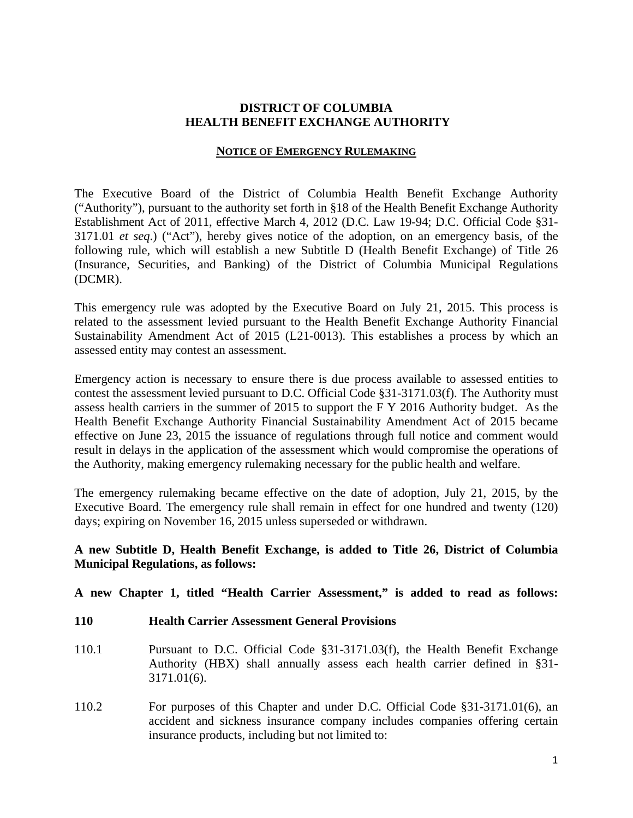## **DISTRICT OF COLUMBIA HEALTH BENEFIT EXCHANGE AUTHORITY**

#### **NOTICE OF EMERGENCY RULEMAKING**

The Executive Board of the District of Columbia Health Benefit Exchange Authority ("Authority"), pursuant to the authority set forth in §18 of the Health Benefit Exchange Authority Establishment Act of 2011, effective March 4, 2012 (D.C. Law 19-94; D.C. Official Code §31- 3171.01 *et seq*.) ("Act"), hereby gives notice of the adoption, on an emergency basis, of the following rule, which will establish a new Subtitle D (Health Benefit Exchange) of Title 26 (Insurance, Securities, and Banking) of the District of Columbia Municipal Regulations (DCMR).

This emergency rule was adopted by the Executive Board on July 21, 2015. This process is related to the assessment levied pursuant to the Health Benefit Exchange Authority Financial Sustainability Amendment Act of 2015 (L21-0013). This establishes a process by which an assessed entity may contest an assessment.

Emergency action is necessary to ensure there is due process available to assessed entities to contest the assessment levied pursuant to D.C. Official Code §31-3171.03(f). The Authority must assess health carriers in the summer of 2015 to support the F Y 2016 Authority budget. As the Health Benefit Exchange Authority Financial Sustainability Amendment Act of 2015 became effective on June 23, 2015 the issuance of regulations through full notice and comment would result in delays in the application of the assessment which would compromise the operations of the Authority, making emergency rulemaking necessary for the public health and welfare.

The emergency rulemaking became effective on the date of adoption, July 21, 2015, by the Executive Board. The emergency rule shall remain in effect for one hundred and twenty (120) days; expiring on November 16, 2015 unless superseded or withdrawn.

# **A new Subtitle D, Health Benefit Exchange, is added to Title 26, District of Columbia Municipal Regulations, as follows:**

**A new Chapter 1, titled "Health Carrier Assessment," is added to read as follows:** 

- **110 Health Carrier Assessment General Provisions**
- 110.1 Pursuant to D.C. Official Code §31-3171.03(f), the Health Benefit Exchange Authority (HBX) shall annually assess each health carrier defined in §31- 3171.01(6).
- 110.2 For purposes of this Chapter and under D.C. Official Code §31-3171.01(6), an accident and sickness insurance company includes companies offering certain insurance products, including but not limited to: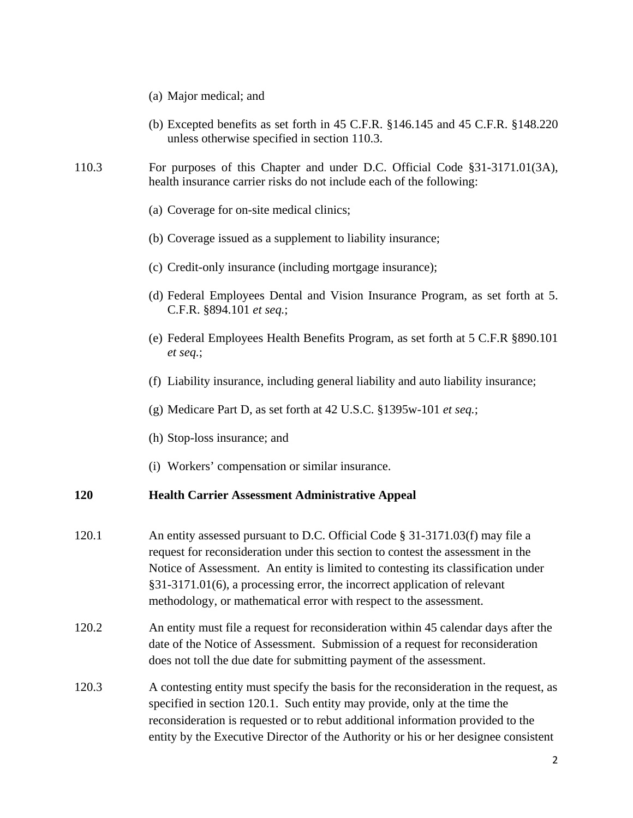- (a) Major medical; and
- (b) Excepted benefits as set forth in 45 C.F.R. §146.145 and 45 C.F.R. §148.220 unless otherwise specified in section 110.3.
- 110.3 For purposes of this Chapter and under D.C. Official Code §31-3171.01(3A), health insurance carrier risks do not include each of the following:
	- (a) Coverage for on-site medical clinics;
	- (b) Coverage issued as a supplement to liability insurance;
	- (c) Credit-only insurance (including mortgage insurance);
	- (d) Federal Employees Dental and Vision Insurance Program, as set forth at 5. C.F.R. §894.101 *et seq.*;
	- (e) Federal Employees Health Benefits Program, as set forth at 5 C.F.R §890.101 *et seq.*;
	- (f) Liability insurance, including general liability and auto liability insurance;
	- (g) Medicare Part D, as set forth at 42 U.S.C. §1395w-101 *et seq.*;
	- (h) Stop-loss insurance; and
	- (i) Workers' compensation or similar insurance.

### **120 Health Carrier Assessment Administrative Appeal**

- 120.1 An entity assessed pursuant to D.C. Official Code § 31-3171.03(f) may file a request for reconsideration under this section to contest the assessment in the Notice of Assessment. An entity is limited to contesting its classification under §31-3171.01(6), a processing error, the incorrect application of relevant methodology, or mathematical error with respect to the assessment.
- 120.2 An entity must file a request for reconsideration within 45 calendar days after the date of the Notice of Assessment. Submission of a request for reconsideration does not toll the due date for submitting payment of the assessment.
- 120.3 A contesting entity must specify the basis for the reconsideration in the request, as specified in section 120.1. Such entity may provide, only at the time the reconsideration is requested or to rebut additional information provided to the entity by the Executive Director of the Authority or his or her designee consistent